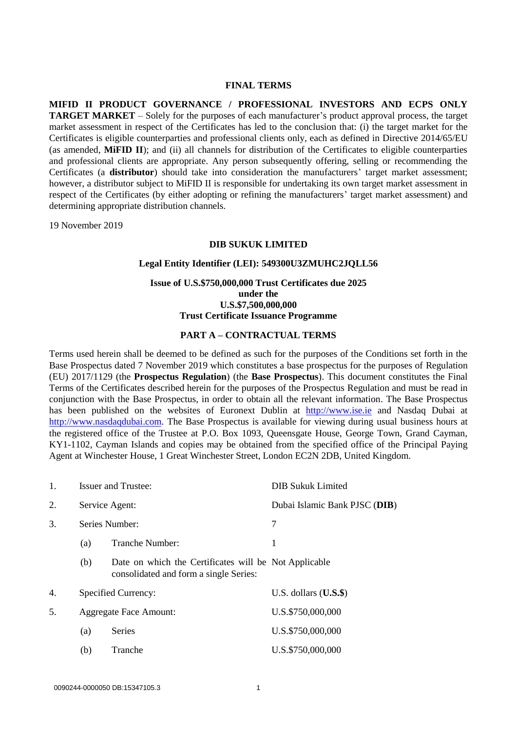#### **FINAL TERMS**

**MIFID II PRODUCT GOVERNANCE / PROFESSIONAL INVESTORS AND ECPS ONLY TARGET MARKET** – Solely for the purposes of each manufacturer's product approval process, the target market assessment in respect of the Certificates has led to the conclusion that: (i) the target market for the Certificates is eligible counterparties and professional clients only, each as defined in Directive 2014/65/EU (as amended, **MiFID II**); and (ii) all channels for distribution of the Certificates to eligible counterparties and professional clients are appropriate. Any person subsequently offering, selling or recommending the Certificates (a **distributor**) should take into consideration the manufacturers' target market assessment; however, a distributor subject to MiFID II is responsible for undertaking its own target market assessment in respect of the Certificates (by either adopting or refining the manufacturers' target market assessment) and determining appropriate distribution channels.

19 November 2019

### **DIB SUKUK LIMITED**

### **Legal Entity Identifier (LEI): 549300U3ZMUHC2JQLL56**

### **Issue of U.S.\$750,000,000 Trust Certificates due 2025 under the U.S.\$7,500,000,000 Trust Certificate Issuance Programme**

### **PART A – CONTRACTUAL TERMS**

Terms used herein shall be deemed to be defined as such for the purposes of the Conditions set forth in the Base Prospectus dated 7 November 2019 which constitutes a base prospectus for the purposes of Regulation (EU) 2017/1129 (the **Prospectus Regulation**) (the **Base Prospectus**). This document constitutes the Final Terms of the Certificates described herein for the purposes of the Prospectus Regulation and must be read in conjunction with the Base Prospectus, in order to obtain all the relevant information. The Base Prospectus has been published on the websites of Euronext Dublin at [http://www.ise.ie](http://www.ise.ie/) and Nasdaq Dubai at [http://www.nasdaqdubai.com.](http://www.nasdaqdubai.com/) The Base Prospectus is available for viewing during usual business hours at the registered office of the Trustee at P.O. Box 1093, Queensgate House, George Town, Grand Cayman, KY1-1102, Cayman Islands and copies may be obtained from the specified office of the Principal Paying Agent at Winchester House, 1 Great Winchester Street, London EC2N 2DB, United Kingdom.

| 1. | <b>Issuer and Trustee:</b>    |                                                                                                 | <b>DIB Sukuk Limited</b>      |
|----|-------------------------------|-------------------------------------------------------------------------------------------------|-------------------------------|
| 2. | Service Agent:                |                                                                                                 | Dubai Islamic Bank PJSC (DIB) |
| 3. | Series Number:                |                                                                                                 | 7                             |
|    | (a)                           | Tranche Number:                                                                                 | 1                             |
|    | (b)                           | Date on which the Certificates will be Not Applicable<br>consolidated and form a single Series: |                               |
| 4. | Specified Currency:           |                                                                                                 | U.S. dollars $(U.S.\$ \$      |
| 5. | <b>Aggregate Face Amount:</b> |                                                                                                 | U.S.\$750,000,000             |
|    | (a)                           | Series                                                                                          | U.S.\$750,000,000             |
|    | (b)                           | Tranche                                                                                         | U.S.\$750,000,000             |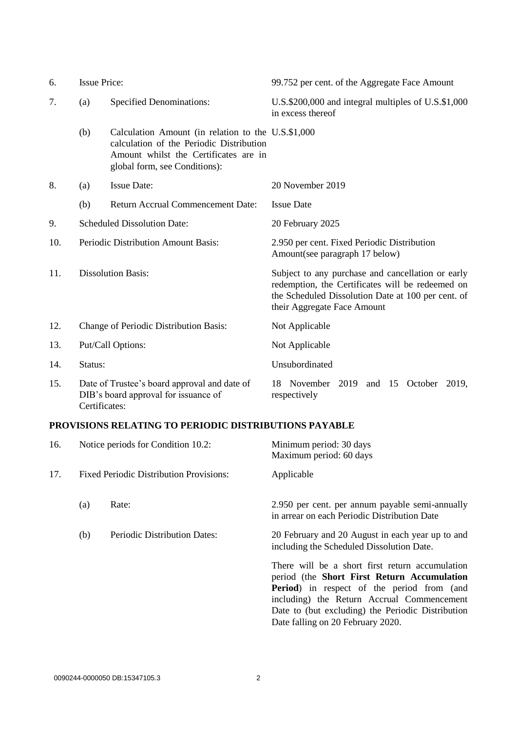| 6.  | <b>Issue Price:</b> |                                                                                                                                                                          | 99.752 per cent. of the Aggregate Face Amount                                                                                                                                              |  |
|-----|---------------------|--------------------------------------------------------------------------------------------------------------------------------------------------------------------------|--------------------------------------------------------------------------------------------------------------------------------------------------------------------------------------------|--|
| 7.  | (a)                 | <b>Specified Denominations:</b>                                                                                                                                          | U.S.\$200,000 and integral multiples of U.S.\$1,000<br>in excess thereof                                                                                                                   |  |
|     | (b)                 | Calculation Amount (in relation to the U.S.\$1,000<br>calculation of the Periodic Distribution<br>Amount whilst the Certificates are in<br>global form, see Conditions): |                                                                                                                                                                                            |  |
| 8.  | (a)                 | <b>Issue Date:</b>                                                                                                                                                       | 20 November 2019                                                                                                                                                                           |  |
|     | (b)                 | <b>Return Accrual Commencement Date:</b>                                                                                                                                 | <b>Issue Date</b>                                                                                                                                                                          |  |
| 9.  |                     | <b>Scheduled Dissolution Date:</b>                                                                                                                                       | 20 February 2025                                                                                                                                                                           |  |
| 10. |                     | Periodic Distribution Amount Basis:                                                                                                                                      | 2.950 per cent. Fixed Periodic Distribution<br>Amount(see paragraph 17 below)                                                                                                              |  |
| 11. |                     | <b>Dissolution Basis:</b>                                                                                                                                                | Subject to any purchase and cancellation or early<br>redemption, the Certificates will be redeemed on<br>the Scheduled Dissolution Date at 100 per cent. of<br>their Aggregate Face Amount |  |
| 12. |                     | Change of Periodic Distribution Basis:                                                                                                                                   | Not Applicable                                                                                                                                                                             |  |
| 13. |                     | Put/Call Options:                                                                                                                                                        | Not Applicable                                                                                                                                                                             |  |
| 14. | Status:             |                                                                                                                                                                          | Unsubordinated                                                                                                                                                                             |  |
| 15. | Certificates:       | Date of Trustee's board approval and date of<br>DIB's board approval for issuance of                                                                                     | November 2019 and<br>15<br>October<br>2019,<br>18<br>respectively                                                                                                                          |  |

# **PROVISIONS RELATING TO PERIODIC DISTRIBUTIONS PAYABLE**

| 16. |                                                | Notice periods for Condition 10.2: | Minimum period: 30 days<br>Maximum period: 60 days                                                                                                                                                                                                                                           |
|-----|------------------------------------------------|------------------------------------|----------------------------------------------------------------------------------------------------------------------------------------------------------------------------------------------------------------------------------------------------------------------------------------------|
| 17. | <b>Fixed Periodic Distribution Provisions:</b> |                                    | Applicable                                                                                                                                                                                                                                                                                   |
|     | (a)                                            | Rate:                              | 2.950 per cent. per annum payable semi-annually<br>in arrear on each Periodic Distribution Date                                                                                                                                                                                              |
|     | (b)                                            | Periodic Distribution Dates:       | 20 February and 20 August in each year up to and<br>including the Scheduled Dissolution Date.                                                                                                                                                                                                |
|     |                                                |                                    | There will be a short first return accumulation<br>period (the Short First Return Accumulation<br><b>Period</b> ) in respect of the period from (and<br>including) the Return Accrual Commencement<br>Date to (but excluding) the Periodic Distribution<br>Date falling on 20 February 2020. |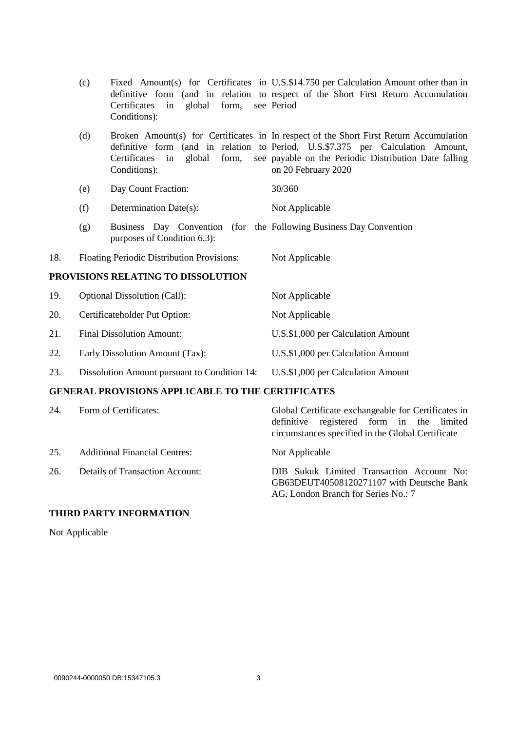|                                    | (c) | global<br>form,<br>Certificates<br>in<br>Conditions):                                             | Fixed Amount(s) for Certificates in U.S.\$14.750 per Calculation Amount other than in<br>definitive form (and in relation to respect of the Short First Return Accumulation<br>see Period                                                                 |
|------------------------------------|-----|---------------------------------------------------------------------------------------------------|-----------------------------------------------------------------------------------------------------------------------------------------------------------------------------------------------------------------------------------------------------------|
|                                    | (d) | form,<br>global<br>Certificates<br>in<br>Conditions):                                             | Broken Amount(s) for Certificates in In respect of the Short First Return Accumulation<br>definitive form (and in relation to Period, U.S.\$7.375 per Calculation Amount,<br>see payable on the Periodic Distribution Date falling<br>on 20 February 2020 |
|                                    | (e) | Day Count Fraction:                                                                               | 30/360                                                                                                                                                                                                                                                    |
|                                    | (f) | Determination Date(s):                                                                            | Not Applicable                                                                                                                                                                                                                                            |
|                                    | (g) | Business Day Convention (for the Following Business Day Convention<br>purposes of Condition 6.3): |                                                                                                                                                                                                                                                           |
| 18.                                |     | Floating Periodic Distribution Provisions:                                                        | Not Applicable                                                                                                                                                                                                                                            |
| PROVISIONS RELATING TO DISSOLUTION |     |                                                                                                   |                                                                                                                                                                                                                                                           |
| 19.                                |     | <b>Optional Dissolution (Call):</b>                                                               | Not Applicable                                                                                                                                                                                                                                            |
| 20.                                |     | Certificateholder Put Option:                                                                     | Not Applicable                                                                                                                                                                                                                                            |
| 21.                                |     | <b>Final Dissolution Amount:</b>                                                                  | U.S.\$1,000 per Calculation Amount                                                                                                                                                                                                                        |
| 22.                                |     | Early Dissolution Amount (Tax):                                                                   | U.S.\$1,000 per Calculation Amount                                                                                                                                                                                                                        |
| 23.                                |     | Dissolution Amount pursuant to Condition 14:                                                      | U.S.\$1,000 per Calculation Amount                                                                                                                                                                                                                        |

## **GENERAL PROVISIONS APPLICABLE TO THE CERTIFICATES**

| 24. | Form of Certificates:                  | Global Certificate exchangeable for Certificates in<br>definitive registered form in the limited<br>circumstances specified in the Global Certificate |
|-----|----------------------------------------|-------------------------------------------------------------------------------------------------------------------------------------------------------|
| 25. | <b>Additional Financial Centres:</b>   | Not Applicable                                                                                                                                        |
| 26. | <b>Details of Transaction Account:</b> | DIB Sukuk Limited Transaction Account No:<br>GB63DEUT40508120271107 with Deutsche Bank<br>AG, London Branch for Series No.: 7                         |

# **THIRD PARTY INFORMATION**

Not Applicable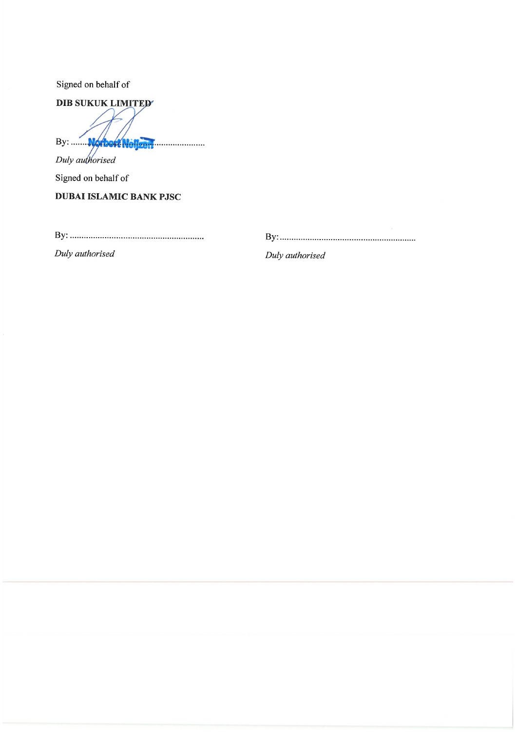Signed on behalf of

DIB SUKUK LIMITED By: World Nellsell

Duly authorised Signed on behalf of

**DUBAI ISLAMIC BANK PJSC** 

Duly authorised

Duly authorised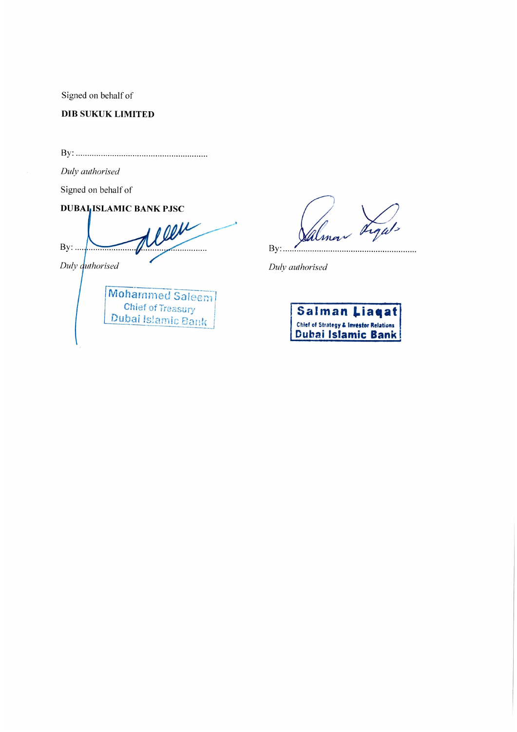Signed on behalf of

**DIB SUKUK LIMITED** 

Duly authorised

Signed on behalf of

**DUBALISLAMIC BANK PJSC** 

leen  $By: ...$  $\sim$ Duly *duthorised* 



 $By:$ . . . . . . . . . .

Duly authorised

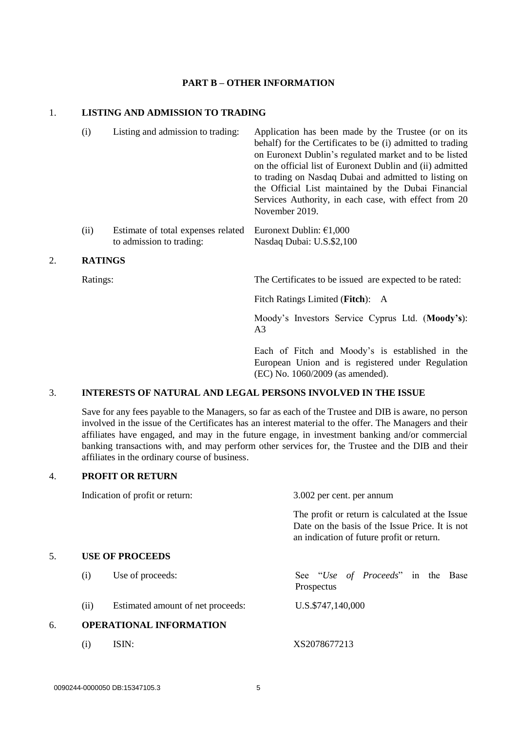### **PART B – OTHER INFORMATION**

## 1. **LISTING AND ADMISSION TO TRADING**

(i) Listing and admission to trading: Application has been made by the Trustee (or on its behalf) for the Certificates to be (i) admitted to trading on Euronext Dublin's regulated market and to be listed on the official list of Euronext Dublin and (ii) admitted to trading on Nasdaq Dubai and admitted to listing on the Official List maintained by the Dubai Financial Services Authority, in each case, with effect from 20 November 2019. (ii) Estimate of total expenses related to admission to trading: Euronext Dublin: €1,000 Nasdaq Dubai: U.S.\$2,100

### 2. **RATINGS**

Ratings: The Certificates to be issued are expected to be rated:

Fitch Ratings Limited (**Fitch**): A

Moody's Investors Service Cyprus Ltd. (**Moody's**): A3

Each of Fitch and Moody's is established in the European Union and is registered under Regulation (EC) No. 1060/2009 (as amended).

### 3. **INTERESTS OF NATURAL AND LEGAL PERSONS INVOLVED IN THE ISSUE**

Save for any fees payable to the Managers, so far as each of the Trustee and DIB is aware, no person involved in the issue of the Certificates has an interest material to the offer. The Managers and their affiliates have engaged, and may in the future engage, in investment banking and/or commercial banking transactions with, and may perform other services for, the Trustee and the DIB and their affiliates in the ordinary course of business.

### 4. **PROFIT OR RETURN**

|    |      | Indication of profit or return:   | 3.002 per cent. per annum                                                                                                                       |
|----|------|-----------------------------------|-------------------------------------------------------------------------------------------------------------------------------------------------|
|    |      |                                   | The profit or return is calculated at the Issue<br>Date on the basis of the Issue Price. It is not<br>an indication of future profit or return. |
| 5. |      | <b>USE OF PROCEEDS</b>            |                                                                                                                                                 |
|    | (i)  | Use of proceeds:                  | See "Use of Proceeds" in the Base<br>Prospectus                                                                                                 |
|    | (ii) | Estimated amount of net proceeds: | U.S.\$747,140,000                                                                                                                               |
| б. |      | <b>OPERATIONAL INFORMATION</b>    |                                                                                                                                                 |
|    | (i)  | ISIN:                             | XS2078677213                                                                                                                                    |